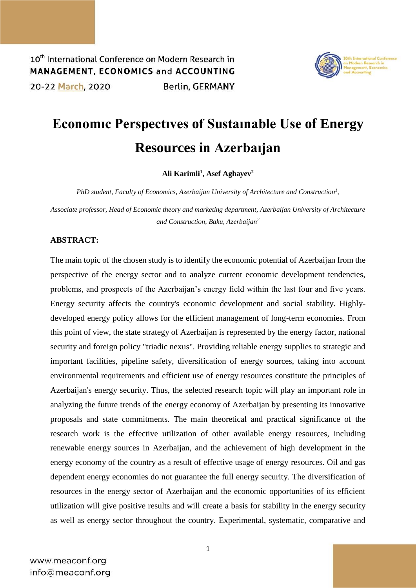

## **Economıc Perspectıves of Sustaınable Use of Energy Resources in Azerbaıjan**

**Ali Karimli<sup>1</sup> , Asef Aghayev<sup>2</sup>**

*PhD student, Faculty of Economics, Azerbaijan University of Architecture and Construction<sup>1</sup> ,*

*Associate professor, Head of Economic theory and marketing department, Azerbaijan University of Architecture and Construction, Baku, Azerbaijan<sup>2</sup>*

## **ABSTRACT:**

The main topic of the chosen study is to identify the economic potential of Azerbaijan from the perspective of the energy sector and to analyze current economic development tendencies, problems, and prospects of the Azerbaijan's energy field within the last four and five years. Energy security affects the country's economic development and social stability. Highlydeveloped energy policy allows for the efficient management of long-term economies. From this point of view, the state strategy of Azerbaijan is represented by the energy factor, national security and foreign policy "triadic nexus". Providing reliable energy supplies to strategic and important facilities, pipeline safety, diversification of energy sources, taking into account environmental requirements and efficient use of energy resources constitute the principles of Azerbaijan's energy security. Thus, the selected research topic will play an important role in analyzing the future trends of the energy economy of Azerbaijan by presenting its innovative proposals and state commitments. The main theoretical and practical significance of the research work is the effective utilization of other available energy resources, including renewable energy sources in Azerbaijan, and the achievement of high development in the energy economy of the country as a result of effective usage of energy resources. Oil and gas dependent energy economies do not guarantee the full energy security. The diversification of resources in the energy sector of Azerbaijan and the economic opportunities of its efficient utilization will give positive results and will create a basis for stability in the energy security as well as energy sector throughout the country. Experimental, systematic, comparative and